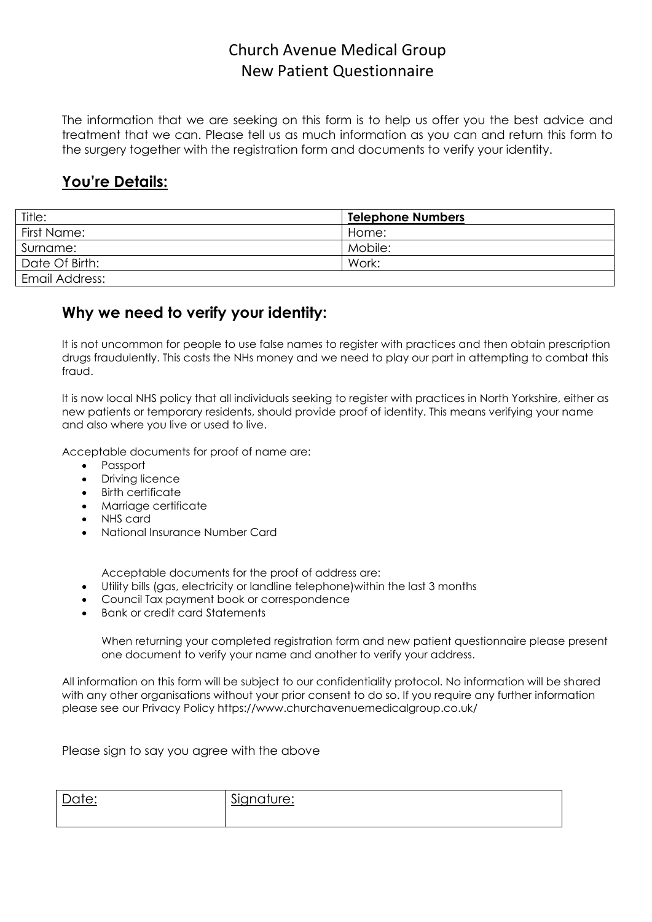The information that we are seeking on this form is to help us offer you the best advice and treatment that we can. Please tell us as much information as you can and return this form to the surgery together with the registration form and documents to verify your identity.

#### **You're Details:**

| Title:         | <b>Telephone Numbers</b> |
|----------------|--------------------------|
| First Name:    | Home:                    |
| Surname:       | Mobile:                  |
| Date Of Birth: | Work:                    |
| Email Address: |                          |

#### **Why we need to verify your identity:**

It is not uncommon for people to use false names to register with practices and then obtain prescription drugs fraudulently. This costs the NHs money and we need to play our part in attempting to combat this fraud.

It is now local NHS policy that all individuals seeking to register with practices in North Yorkshire, either as new patients or temporary residents, should provide proof of identity. This means verifying your name and also where you live or used to live.

Acceptable documents for proof of name are:

- Passport
- Driving licence
- Birth certificate
- Marriage certificate
- NHS card
- National Insurance Number Card

Acceptable documents for the proof of address are:

- Utility bills (gas, electricity or landline telephone)within the last 3 months
- Council Tax payment book or correspondence
- Bank or credit card Statements

When returning your completed registration form and new patient questionnaire please present one document to verify your name and another to verify your address.

All information on this form will be subject to our confidentiality protocol. No information will be shared with any other organisations without your prior consent to do so. If you require any further information please see our Privacy Policy https://www.churchavenuemedicalgroup.co.uk/

Please sign to say you agree with the above

| Date: | Signature: |
|-------|------------|
|       |            |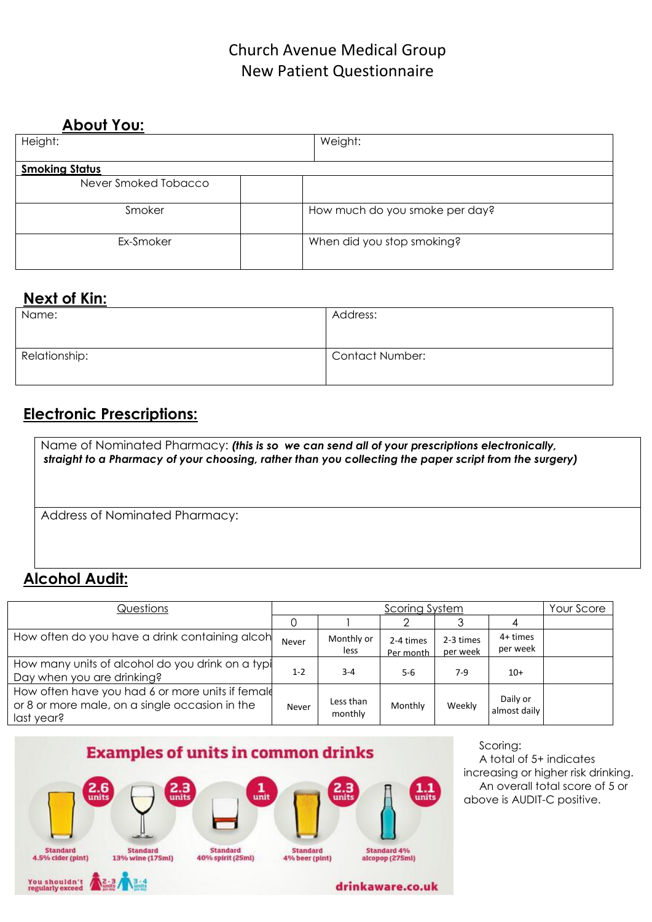| <b>About You:</b>     |                                |  |
|-----------------------|--------------------------------|--|
| Height:               | Weight:                        |  |
|                       |                                |  |
| <b>Smoking Status</b> |                                |  |
| Never Smoked Tobacco  |                                |  |
| Smoker                | How much do you smoke per day? |  |
| Ex-Smoker             | When did you stop smoking?     |  |

### **Next of Kin:**

| Name:         | Address:               |
|---------------|------------------------|
| Relationship: | <b>Contact Number:</b> |

### **Electronic Prescriptions:**

Name of Nominated Pharmacy: *(this is so we can send all of your prescriptions electronically, straight to a Pharmacy of your choosing, rather than you collecting the paper script from the surgery)*

Address of Nominated Pharmacy:

### **Alcohol Audit:**

| Questions                                                                                                        | <b>Scoring System</b> |                      |                        | Your Score            |                          |  |
|------------------------------------------------------------------------------------------------------------------|-----------------------|----------------------|------------------------|-----------------------|--------------------------|--|
|                                                                                                                  |                       |                      |                        |                       |                          |  |
| How often do you have a drink containing alcoh                                                                   | Never                 | Monthly or<br>less   | 2-4 times<br>Per month | 2-3 times<br>per week | 4+ times<br>per week     |  |
| How many units of alcohol do you drink on a typi<br>Day when you are drinking?                                   | $1 - 2$               | $3 - 4$              | 5-6                    | $7-9$                 | $10+$                    |  |
| How often have you had 6 or more units if female<br>or 8 or more male, on a single occasion in the<br>last year? | Never                 | Less than<br>monthly | Monthly                | Weekly                | Daily or<br>almost daily |  |



Scoring: A total of 5+ indicates increasing or higher risk drinking. An overall total score of 5 or above is AUDIT-C positive.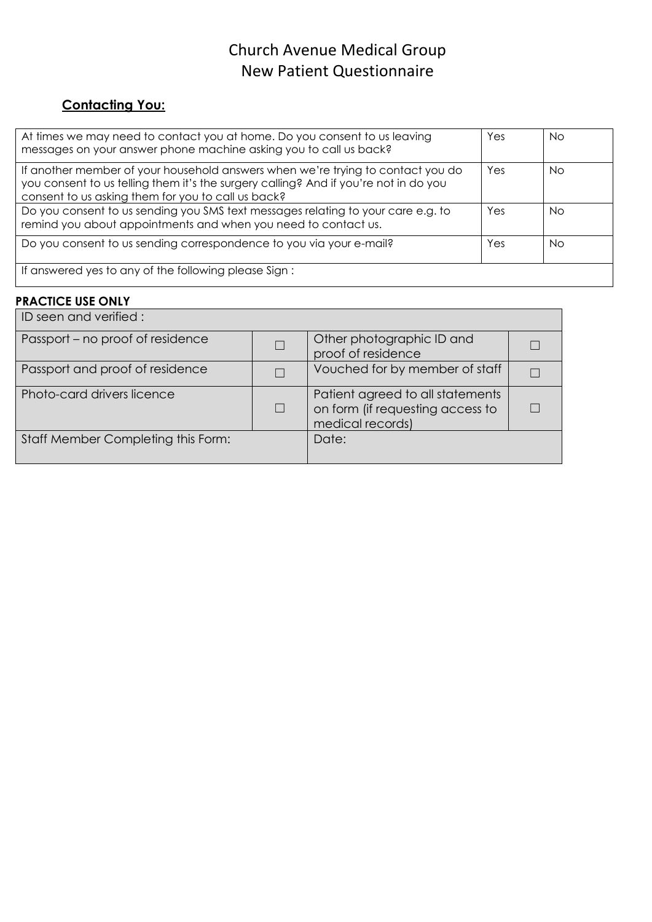### **Contacting You:**

| At times we may need to contact you at home. Do you consent to us leaving<br>messages on your answer phone machine asking you to call us back?                                                                                | Yes | Nο  |
|-------------------------------------------------------------------------------------------------------------------------------------------------------------------------------------------------------------------------------|-----|-----|
| If another member of your household answers when we're trying to contact you do<br>you consent to us telling them it's the surgery calling? And if you're not in do you<br>consent to us asking them for you to call us back? | Yes | No. |
| Do you consent to us sending you SMS text messages relating to your care e.g. to<br>remind you about appointments and when you need to contact us.                                                                            | Yes | Nο  |
| Do you consent to us sending correspondence to you via your e-mail?                                                                                                                                                           | Yes | Nο  |
| If answered yes to any of the following please Sign:                                                                                                                                                                          |     |     |

#### **PRACTICE USE ONLY**

| ID seen and verified :             |                                                                                          |  |
|------------------------------------|------------------------------------------------------------------------------------------|--|
| Passport – no proof of residence   | Other photographic ID and<br>proof of residence                                          |  |
| Passport and proof of residence    | Vouched for by member of staff                                                           |  |
| Photo-card drivers licence         | Patient agreed to all statements<br>on form (if requesting access to<br>medical records) |  |
| Staff Member Completing this Form: | Date:                                                                                    |  |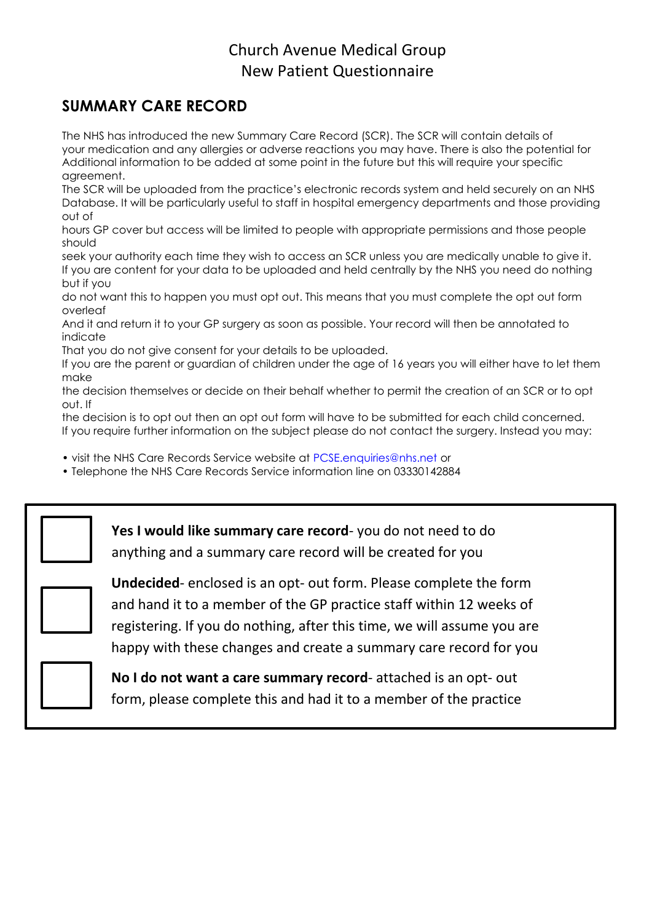## **SUMMARY CARE RECORD**

The NHS has introduced the new Summary Care Record (SCR). The SCR will contain details of your medication and any allergies or adverse reactions you may have. There is also the potential for Additional information to be added at some point in the future but this will require your specific agreement.

The SCR will be uploaded from the practice's electronic records system and held securely on an NHS Database. It will be particularly useful to staff in hospital emergency departments and those providing out of

hours GP cover but access will be limited to people with appropriate permissions and those people should

seek your authority each time they wish to access an SCR unless you are medically unable to give it. If you are content for your data to be uploaded and held centrally by the NHS you need do nothing but if you

do not want this to happen you must opt out. This means that you must complete the opt out form overleaf

And it and return it to your GP surgery as soon as possible. Your record will then be annotated to indicate

That you do not give consent for your details to be uploaded.

If you are the parent or guardian of children under the age of 16 years you will either have to let them make

the decision themselves or decide on their behalf whether to permit the creation of an SCR or to opt out. If

the decision is to opt out then an opt out form will have to be submitted for each child concerned. If you require further information on the subject please do not contact the surgery. Instead you may:

• visit the NHS Care Records Service website at PCSE.enquiries@nhs.net or

• Telephone the NHS Care Records Service information line on 03330142884

**Yes I would like summary care record**- you do not need to do anything and a summary care record will be created for you

**Undecided**- enclosed is an opt- out form. Please complete the form and hand it to a member of the GP practice staff within 12 weeks of registering. If you do nothing, after this time, we will assume you are happy with these changes and create a summary care record for you



**No I do not want a care summary record**- attached is an opt- out form, please complete this and had it to a member of the practice